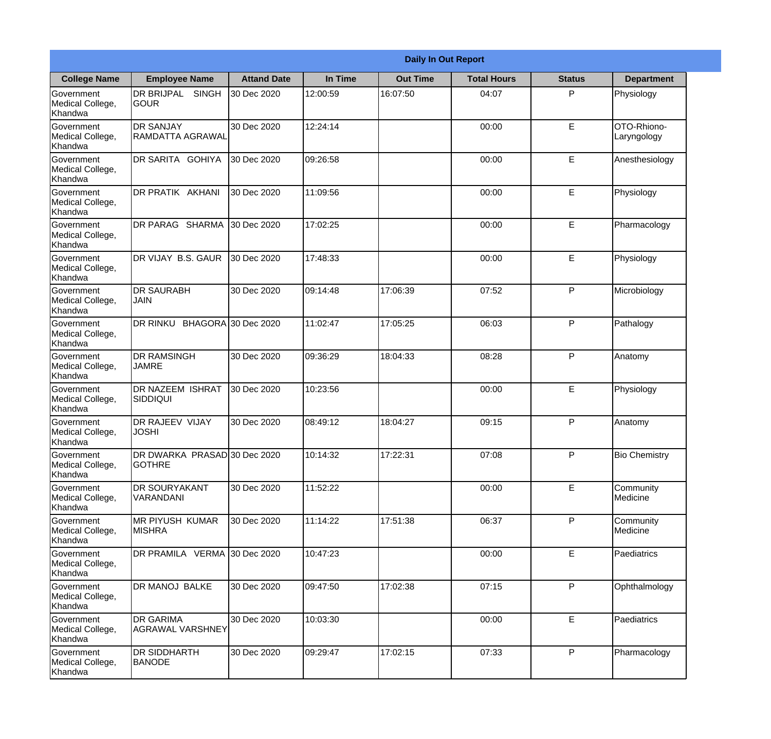|                                                  |                                               |                    |          | <b>Daily In Out Report</b> |                    |               |                            |
|--------------------------------------------------|-----------------------------------------------|--------------------|----------|----------------------------|--------------------|---------------|----------------------------|
| <b>College Name</b>                              | <b>Employee Name</b>                          | <b>Attand Date</b> | In Time  | <b>Out Time</b>            | <b>Total Hours</b> | <b>Status</b> | <b>Department</b>          |
| Government<br>Medical College,<br>Khandwa        | DR BRIJPAL<br><b>SINGH</b><br>IGOUR           | 30 Dec 2020        | 12:00:59 | 16:07:50                   | 04:07              | P             | Physiology                 |
| Government<br>Medical College,<br>Khandwa        | <b>DR SANJAY</b><br>RAMDATTA AGRAWAL          | 30 Dec 2020        | 12:24:14 |                            | 00:00              | E             | OTO-Rhiono-<br>Laryngology |
| Government<br>Medical College,<br>Khandwa        | <b>DR SARITA GOHIYA</b>                       | 30 Dec 2020        | 09:26:58 |                            | 00:00              | E             | Anesthesiology             |
| Government<br>Medical College,<br>Khandwa        | DR PRATIK AKHANI                              | 30 Dec 2020        | 11:09:56 |                            | 00:00              | E             | Physiology                 |
| Government<br>Medical College,<br>Khandwa        | DR PARAG SHARMA                               | 30 Dec 2020        | 17:02:25 |                            | 00:00              | E             | Pharmacology               |
| Government<br>Medical College,<br>Khandwa        | DR VIJAY B.S. GAUR                            | 30 Dec 2020        | 17:48:33 |                            | 00:00              | E             | Physiology                 |
| <b>Government</b><br>Medical College,<br>Khandwa | <b>IDR SAURABH</b><br><b>JAIN</b>             | 30 Dec 2020        | 09:14:48 | 17:06:39                   | 07:52              | P             | Microbiology               |
| Government<br>Medical College,<br>Khandwa        | DR RINKU BHAGORA 30 Dec 2020                  |                    | 11:02:47 | 17:05:25                   | 06:03              | P             | Pathalogy                  |
| Government<br>Medical College,<br>Khandwa        | <b>DR RAMSINGH</b><br><b>JAMRE</b>            | 30 Dec 2020        | 09:36:29 | 18:04:33                   | 08:28              | P             | Anatomy                    |
| Government<br>Medical College,<br>Khandwa        | <b>DR NAZEEM ISHRAT</b><br> SIDDIQUI          | 30 Dec 2020        | 10:23:56 |                            | 00:00              | E             | Physiology                 |
| Government<br>Medical College,<br>Khandwa        | <b>DR RAJEEV VIJAY</b><br><b>JOSHI</b>        | 30 Dec 2020        | 08:49:12 | 18:04:27                   | 09:15              | P             | Anatomy                    |
| Government<br>Medical College,<br>Khandwa        | DR DWARKA PRASAD 30 Dec 2020<br><b>GOTHRE</b> |                    | 10:14:32 | 17:22:31                   | 07:08              | P             | <b>Bio Chemistry</b>       |
| Government<br>Medical College,<br>Khandwa        | <b>DR SOURYAKANT</b><br>VARANDANI             | 30 Dec 2020        | 11:52:22 |                            | 00:00              | E             | Community<br>Medicine      |
| Government<br>Medical College,<br>Khandwa        | <b>MR PIYUSH KUMAR</b><br><b>MISHRA</b>       | 30 Dec 2020        | 11:14:22 | 17:51:38                   | 06:37              | P             | Community<br>Medicine      |
| Government<br>Medical College,<br>Khandwa        | DR PRAMILA VERMA 30 Dec 2020                  |                    | 10:47:23 |                            | 00:00              | $\mathsf E$   | Paediatrics                |
| Government<br>Medical College,<br>Khandwa        | DR MANOJ BALKE                                | 30 Dec 2020        | 09:47:50 | 17:02:38                   | 07:15              | P             | Ophthalmology              |
| Government<br>Medical College,<br>Khandwa        | <b>DR GARIMA</b><br>AGRAWAL VARSHNEY          | 30 Dec 2020        | 10:03:30 |                            | 00:00              | E             | Paediatrics                |
| Government<br>Medical College,<br>Khandwa        | <b>DR SIDDHARTH</b><br><b>BANODE</b>          | 30 Dec 2020        | 09:29:47 | 17:02:15                   | 07:33              | P             | Pharmacology               |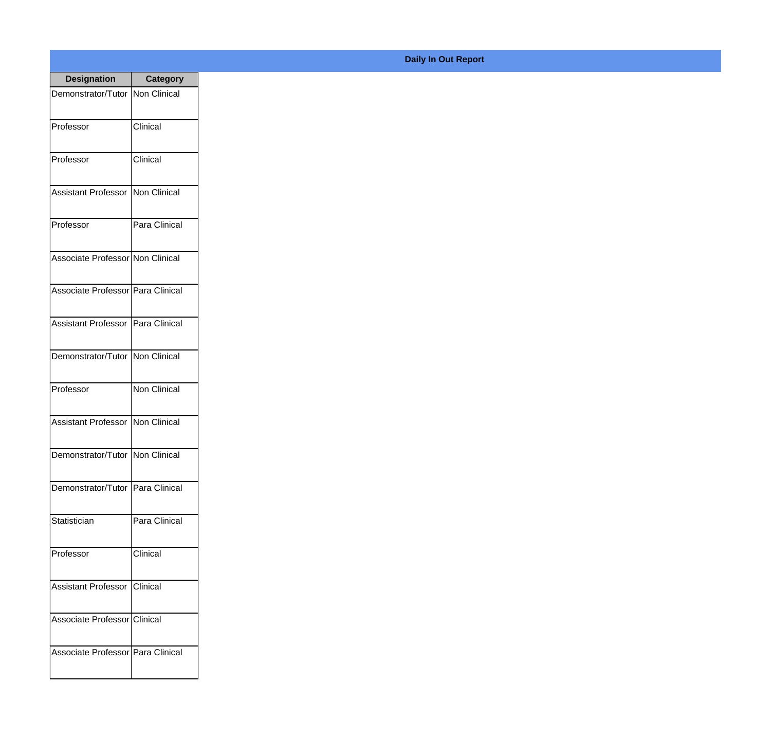| <b>Designation</b>                  | <b>Category</b> |
|-------------------------------------|-----------------|
| Demonstrator/Tutor   Non Clinical   |                 |
| Professor                           | Clinical        |
| Professor                           | Clinical        |
| <b>Assistant Professor</b>          | Non Clinical    |
| Professor                           | Para Clinical   |
| Associate Professor Non Clinical    |                 |
| Associate Professor   Para Clinical |                 |
| Assistant Professor   Para Clinical |                 |
| Demonstrator/Tutor   Non Clinical   |                 |
| Professor                           | Non Clinical    |
| <b>Assistant Professor</b>          | Non Clinical    |
| Demonstrator/Tutor   Non Clinical   |                 |
| Demonstrator/Tutor   Para Clinical  |                 |
| Statistician                        | Para Clinical   |
| Professor                           | Clinical        |
| <b>Assistant Professor</b>          | Clinical        |
| Associate Professor Clinical        |                 |
| Associate Professor Para Clinical   |                 |

## **Daily In Out Report**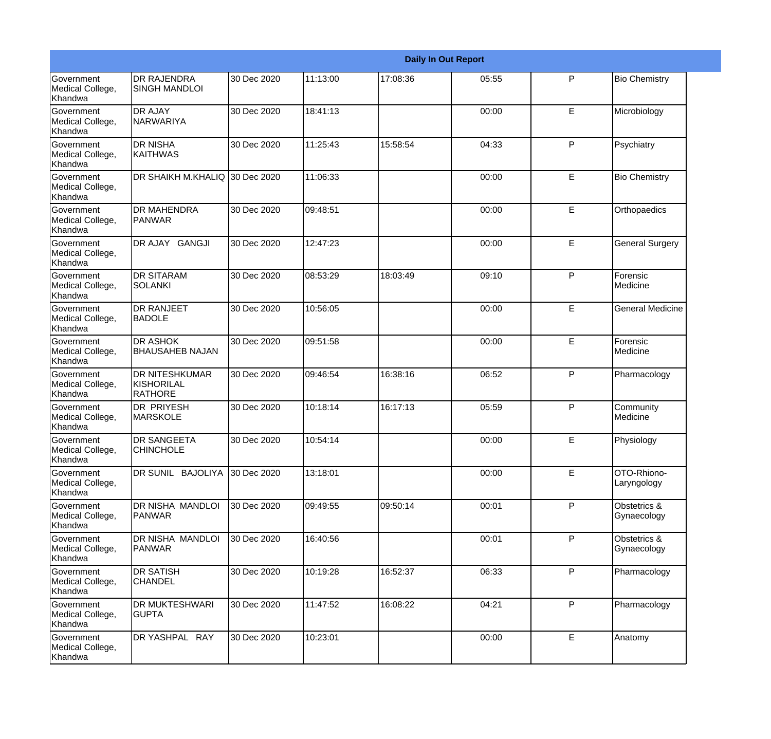|                                                  | <b>Daily In Out Report</b>                                   |             |          |          |       |              |                             |  |  |
|--------------------------------------------------|--------------------------------------------------------------|-------------|----------|----------|-------|--------------|-----------------------------|--|--|
| Government<br>Medical College,<br>Khandwa        | DR RAJENDRA<br><b>SINGH MANDLOI</b>                          | 30 Dec 2020 | 11:13:00 | 17:08:36 | 05:55 | P            | <b>Bio Chemistry</b>        |  |  |
| Government<br>Medical College,<br>Khandwa        | <b>DR AJAY</b><br><b>NARWARIYA</b>                           | 30 Dec 2020 | 18:41:13 |          | 00:00 | E            | Microbiology                |  |  |
| Government<br>Medical College,<br>Khandwa        | <b>DR NISHA</b><br><b>KAITHWAS</b>                           | 30 Dec 2020 | 11:25:43 | 15:58:54 | 04:33 | $\mathsf{P}$ | Psychiatry                  |  |  |
| Government<br>Medical College,<br>Khandwa        | DR SHAIKH M.KHALIQ 30 Dec 2020                               |             | 11:06:33 |          | 00:00 | E            | <b>Bio Chemistry</b>        |  |  |
| <b>Government</b><br>Medical College,<br>Khandwa | <b>DR MAHENDRA</b><br><b>PANWAR</b>                          | 30 Dec 2020 | 09:48:51 |          | 00:00 | E            | Orthopaedics                |  |  |
| Government<br>Medical College,<br>Khandwa        | DR AJAY GANGJI                                               | 30 Dec 2020 | 12:47:23 |          | 00:00 | E            | <b>General Surgery</b>      |  |  |
| Government<br>Medical College,<br>Khandwa        | <b>DR SITARAM</b><br><b>SOLANKI</b>                          | 30 Dec 2020 | 08:53:29 | 18:03:49 | 09:10 | $\mathsf{P}$ | Forensic<br>Medicine        |  |  |
| Government<br>Medical College,<br>Khandwa        | DR RANJEET<br><b>BADOLE</b>                                  | 30 Dec 2020 | 10:56:05 |          | 00:00 | E            | <b>General Medicine</b>     |  |  |
| <b>Government</b><br>Medical College,<br>Khandwa | DR ASHOK<br><b>BHAUSAHEB NAJAN</b>                           | 30 Dec 2020 | 09:51:58 |          | 00:00 | E            | Forensic<br>Medicine        |  |  |
| <b>Government</b><br>Medical College,<br>Khandwa | <b>DR NITESHKUMAR</b><br><b>KISHORILAL</b><br><b>RATHORE</b> | 30 Dec 2020 | 09:46:54 | 16:38:16 | 06:52 | $\mathsf{P}$ | Pharmacology                |  |  |
| Government<br>Medical College,<br>Khandwa        | <b>DR PRIYESH</b><br><b>MARSKOLE</b>                         | 30 Dec 2020 | 10:18:14 | 16:17:13 | 05:59 | $\mathsf{P}$ | Community<br>Medicine       |  |  |
| Government<br>Medical College,<br>Khandwa        | DR SANGEETA<br><b>CHINCHOLE</b>                              | 30 Dec 2020 | 10:54:14 |          | 00:00 | E            | Physiology                  |  |  |
| Government<br>Medical College,<br>Khandwa        | DR SUNIL BAJOLIYA                                            | 30 Dec 2020 | 13:18:01 |          | 00:00 | E            | OTO-Rhiono-<br>Laryngology  |  |  |
| Government<br>Medical College,<br>Khandwa        | <b>DR NISHA MANDLOI</b><br><b>PANWAR</b>                     | 30 Dec 2020 | 09:49:55 | 09:50:14 | 00:01 | P            | Obstetrics &<br>Gynaecology |  |  |
| Government<br>Medical College,<br>Khandwa        | <b>DR NISHA MANDLOI</b><br>PANWAR                            | 30 Dec 2020 | 16:40:56 |          | 00:01 | $\mathsf{P}$ | Obstetrics &<br>Gynaecology |  |  |
| Government<br>Medical College,<br>Khandwa        | <b>DR SATISH</b><br><b>CHANDEL</b>                           | 30 Dec 2020 | 10:19:28 | 16:52:37 | 06:33 | P            | Pharmacology                |  |  |
| Government<br>Medical College,<br>Khandwa        | DR MUKTESHWARI<br><b>GUPTA</b>                               | 30 Dec 2020 | 11:47:52 | 16:08:22 | 04:21 | P            | Pharmacology                |  |  |
| Government<br>Medical College,<br>Khandwa        | DR YASHPAL RAY                                               | 30 Dec 2020 | 10:23:01 |          | 00:00 | E            | Anatomy                     |  |  |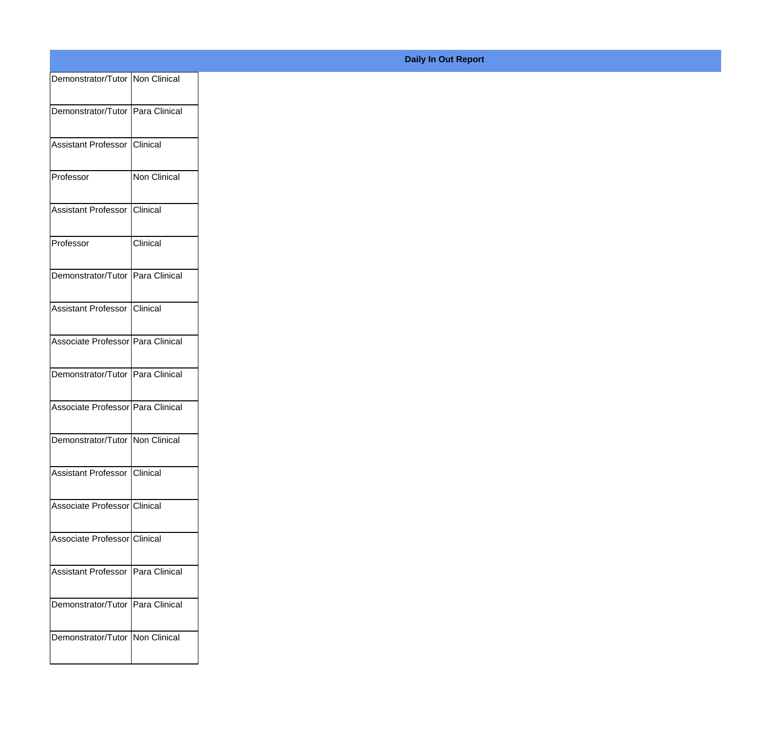| Demonstrator/Tutor Non Clinical   |              |
|-----------------------------------|--------------|
| Demonstrator/Tutor Para Clinical  |              |
| Assistant Professor Clinical      |              |
|                                   |              |
| Professor                         | Non Clinical |
| Assistant Professor Clinical      |              |
| Professor                         | Clinical     |
|                                   |              |
| Demonstrator/Tutor Para Clinical  |              |
| Assistant Professor Clinical      |              |
| Associate Professor Para Clinical |              |
| Demonstrator/Tutor Para Clinical  |              |
| Associate Professor Para Clinical |              |
|                                   |              |
| Demonstrator/Tutor Non Clinical   |              |
| Assistant Professor Clinical      |              |
| Associate Professor Clinical      |              |
|                                   |              |
| Associate Professor Clinical      |              |
| Assistant Professor Para Clinical |              |
| Demonstrator/Tutor Para Clinical  |              |
| Demonstrator/Tutor Non Clinical   |              |
|                                   |              |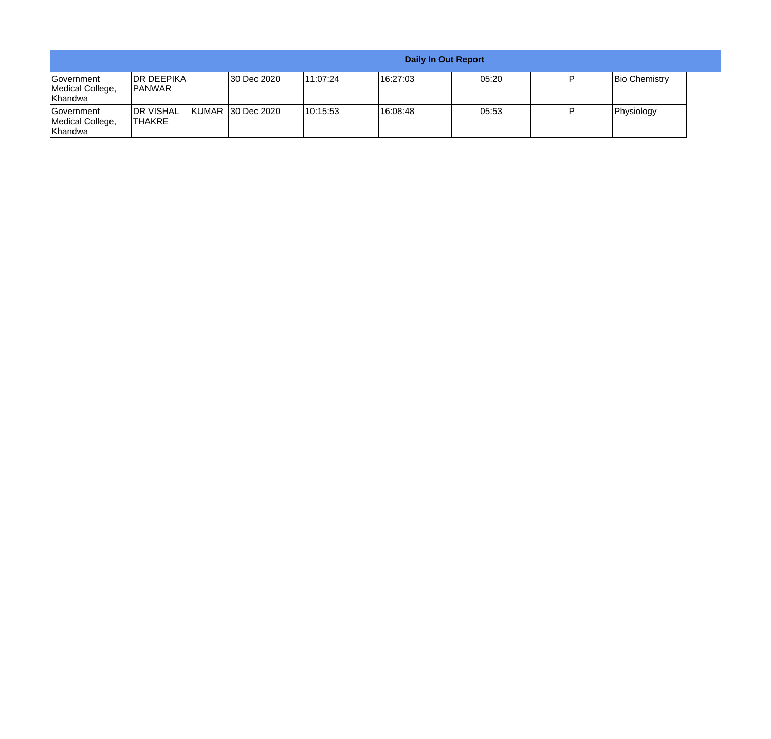|                                                          |                                      | <b>Daily In Out Report</b> |           |          |       |  |                      |
|----------------------------------------------------------|--------------------------------------|----------------------------|-----------|----------|-------|--|----------------------|
| <b>IGovernment</b><br>Medical College,<br><b>Khandwa</b> | <b>IDR DEEPIKA</b><br><b>IPANWAR</b> | 30 Dec 2020                | 111:07:24 | 16:27:03 | 05:20 |  | <b>Bio Chemistry</b> |
| <b>IGovernment</b><br>Medical College,<br>Khandwa        | <b>IDR VISHAL</b><br><b>ITHAKRE</b>  | KUMAR 130 Dec 2020         | 110:15:53 | 16:08:48 | 05:53 |  | Physiology           |